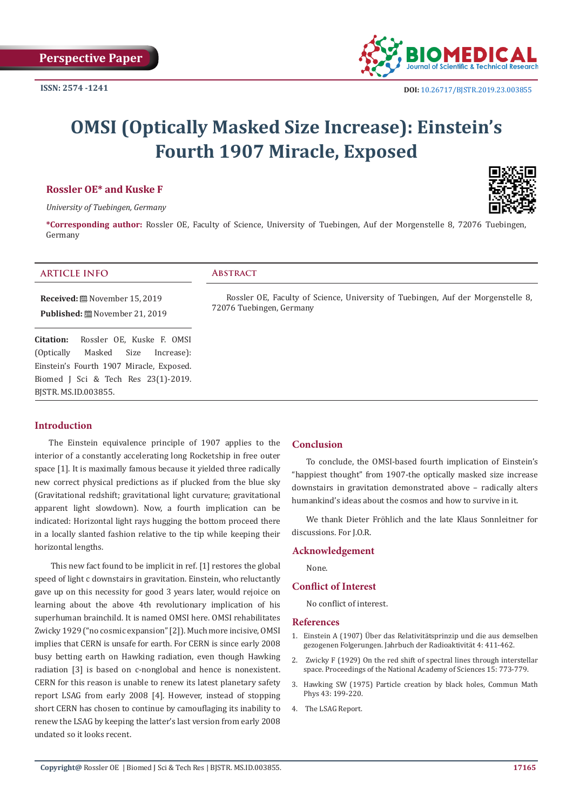

# **OMSI (Optically Masked Size Increase): Einstein's Fourth 1907 Miracle, Exposed**

# **Rossler OE\* and Kuske F**

*University of Tuebingen, Germany*

**\*Corresponding author:** Rossler OE, Faculty of Science, University of Tuebingen, Auf der Morgenstelle 8, 72076 Tuebingen, Germany

# **ARTICLE INFO Abstract**

**Received:** November 15, 2019 **Published:** November 21, 2019

**Citation:** Rossler OE, Kuske F. OMSI (Optically Masked Size Increase): Einstein's Fourth 1907 Miracle, Exposed. Biomed J Sci & Tech Res 23(1)-2019. BJSTR. MS.ID.003855.

Rossler OE, Faculty of Science, University of Tuebingen, Auf der Morgenstelle 8, 72076 Tuebingen, Germany

### **Introduction**

The Einstein equivalence principle of 1907 applies to the interior of a constantly accelerating long Rocketship in free outer space [1]. It is maximally famous because it yielded three radically new correct physical predictions as if plucked from the blue sky (Gravitational redshift; gravitational light curvature; gravitational apparent light slowdown). Now, a fourth implication can be indicated: Horizontal light rays hugging the bottom proceed there in a locally slanted fashion relative to the tip while keeping their horizontal lengths.

 This new fact found to be implicit in ref. [1] restores the global speed of light c downstairs in gravitation. Einstein, who reluctantly gave up on this necessity for good 3 years later, would rejoice on learning about the above 4th revolutionary implication of his superhuman brainchild. It is named OMSI here. OMSI rehabilitates Zwicky 1929 ("no cosmic expansion" [2]). Much more incisive, OMSI implies that CERN is unsafe for earth. For CERN is since early 2008 busy betting earth on Hawking radiation, even though Hawking radiation [3] is based on c-nonglobal and hence is nonexistent. CERN for this reason is unable to renew its latest planetary safety report LSAG from early 2008 [4]. However, instead of stopping short CERN has chosen to continue by camouflaging its inability to renew the LSAG by keeping the latter's last version from early 2008 undated so it looks recent.

### **Conclusion**

To conclude, the OMSI-based fourth implication of Einstein's "happiest thought" from 1907-the optically masked size increase downstairs in gravitation demonstrated above – radically alters humankind's ideas about the cosmos and how to survive in it.

We thank Dieter Fröhlich and the late Klaus Sonnleitner for discussions. For I.O.R.

#### **Acknowledgement**

None.

## **Conflict of Interest**

No conflict of interest.

#### **References**

- 1. [Einstein A \(1907\) Über das Relativitätsprinzip und die aus demselben](https://www.scirp.org/(S(351jmbntvnsjt1aadkposzje))/reference/ReferencesPapers.aspx?ReferenceID=1776814) [gezogenen Folgerungen. Jahrbuch der Radioaktivität 4: 411-462.](https://www.scirp.org/(S(351jmbntvnsjt1aadkposzje))/reference/ReferencesPapers.aspx?ReferenceID=1776814)
- 2. [Zwicky F \(1929\) On the red shift of spectral lines through interstellar](https://ui.adsabs.harvard.edu/abs/1929PNAS...15..773Z/abstract) [space. Proceedings of the National Academy of Sciences 15: 773-779.](https://ui.adsabs.harvard.edu/abs/1929PNAS...15..773Z/abstract)
- 3. [Hawking SW \(1975\) Particle creation by black holes, Commun Math](https://projecteuclid.org/euclid.cmp/1103899181) [Phys 43: 199-220.](https://projecteuclid.org/euclid.cmp/1103899181)
- 4. [The LSAG Report.](http://lsag.web.cern.ch/LSAG-Report.pdf)